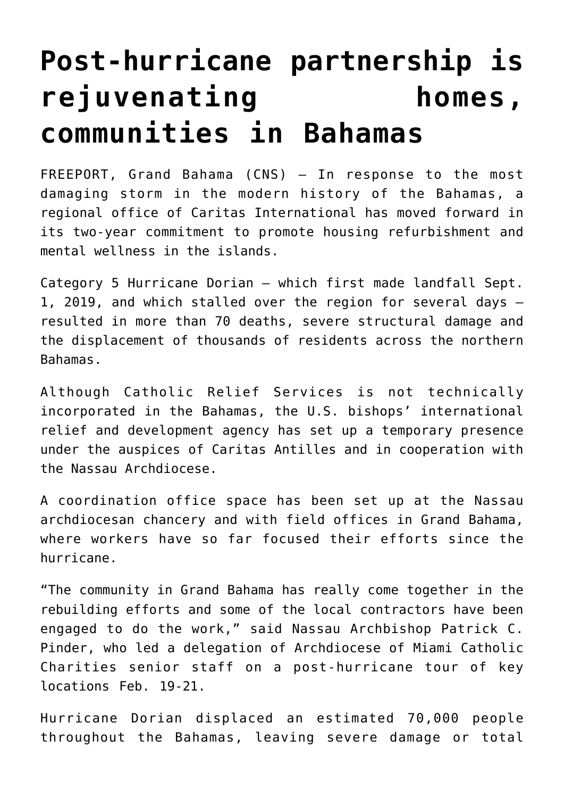## **[Post-hurricane partnership is](https://www.osvnews.com/2020/02/28/post-hurricane-partnership-is-rejuvenating-homes-communities-in-bahamas/) [rejuvenating homes,](https://www.osvnews.com/2020/02/28/post-hurricane-partnership-is-rejuvenating-homes-communities-in-bahamas/) [communities in Bahamas](https://www.osvnews.com/2020/02/28/post-hurricane-partnership-is-rejuvenating-homes-communities-in-bahamas/)**

FREEPORT, Grand Bahama (CNS) — In response to the most damaging storm in the modern history of the Bahamas, a regional office of Caritas International has moved forward in its two-year commitment to promote housing refurbishment and mental wellness in the islands.

Category 5 Hurricane Dorian — which first made landfall Sept. 1, 2019, and which stalled over the region for several days resulted in more than 70 deaths, severe structural damage and the displacement of thousands of residents across the northern Bahamas.

Although Catholic Relief Services is not technically incorporated in the Bahamas, the U.S. bishops' international relief and development agency has set up a temporary presence under the auspices of Caritas Antilles and in cooperation with the Nassau Archdiocese.

A coordination office space has been set up at the Nassau archdiocesan chancery and with field offices in Grand Bahama, where workers have so far focused their efforts since the hurricane.

"The community in Grand Bahama has really come together in the rebuilding efforts and some of the local contractors have been engaged to do the work," said Nassau Archbishop Patrick C. Pinder, who led a delegation of Archdiocese of Miami Catholic Charities senior staff on a post-hurricane tour of key locations Feb. 19-21.

Hurricane Dorian displaced an estimated 70,000 people throughout the Bahamas, leaving severe damage or total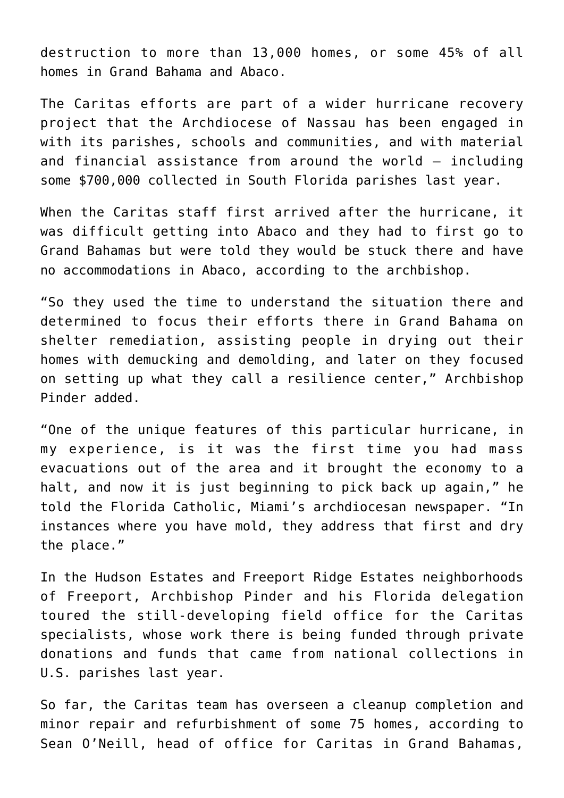destruction to more than 13,000 homes, or some 45% of all homes in Grand Bahama and Abaco.

The Caritas efforts are part of a wider hurricane recovery project that the Archdiocese of Nassau has been engaged in with its parishes, schools and communities, and with material and financial assistance from around the world — including some \$700,000 collected in South Florida parishes last year.

When the Caritas staff first arrived after the hurricane, it was difficult getting into Abaco and they had to first go to Grand Bahamas but were told they would be stuck there and have no accommodations in Abaco, according to the archbishop.

"So they used the time to understand the situation there and determined to focus their efforts there in Grand Bahama on shelter remediation, assisting people in drying out their homes with demucking and demolding, and later on they focused on setting up what they call a resilience center," Archbishop Pinder added.

"One of the unique features of this particular hurricane, in my experience, is it was the first time you had mass evacuations out of the area and it brought the economy to a halt, and now it is just beginning to pick back up again," he told the Florida Catholic, Miami's archdiocesan newspaper. "In instances where you have mold, they address that first and dry the place."

In the Hudson Estates and Freeport Ridge Estates neighborhoods of Freeport, Archbishop Pinder and his Florida delegation toured the still-developing field office for the Caritas specialists, whose work there is being funded through private donations and funds that came from national collections in U.S. parishes last year.

So far, the Caritas team has overseen a cleanup completion and minor repair and refurbishment of some 75 homes, according to Sean O'Neill, head of office for Caritas in Grand Bahamas,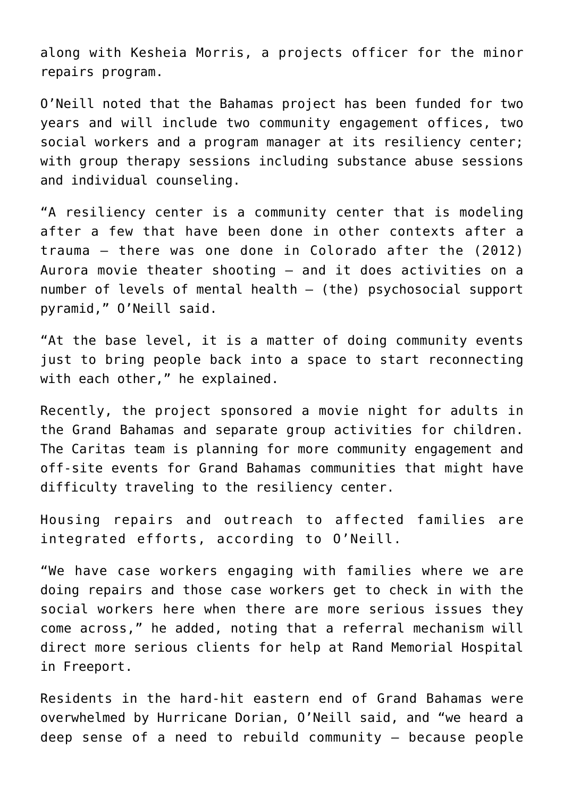along with Kesheia Morris, a projects officer for the minor repairs program.

O'Neill noted that the Bahamas project has been funded for two years and will include two community engagement offices, two social workers and a program manager at its resiliency center; with group therapy sessions including substance abuse sessions and individual counseling.

"A resiliency center is a community center that is modeling after a few that have been done in other contexts after a trauma — there was one done in Colorado after the (2012) Aurora movie theater shooting — and it does activities on a number of levels of mental health — (the) psychosocial support pyramid," O'Neill said.

"At the base level, it is a matter of doing community events just to bring people back into a space to start reconnecting with each other," he explained.

Recently, the project sponsored a movie night for adults in the Grand Bahamas and separate group activities for children. The Caritas team is planning for more community engagement and off-site events for Grand Bahamas communities that might have difficulty traveling to the resiliency center.

Housing repairs and outreach to affected families are integrated efforts, according to O'Neill.

"We have case workers engaging with families where we are doing repairs and those case workers get to check in with the social workers here when there are more serious issues they come across," he added, noting that a referral mechanism will direct more serious clients for help at Rand Memorial Hospital in Freeport.

Residents in the hard-hit eastern end of Grand Bahamas were overwhelmed by Hurricane Dorian, O'Neill said, and "we heard a deep sense of a need to rebuild community — because people